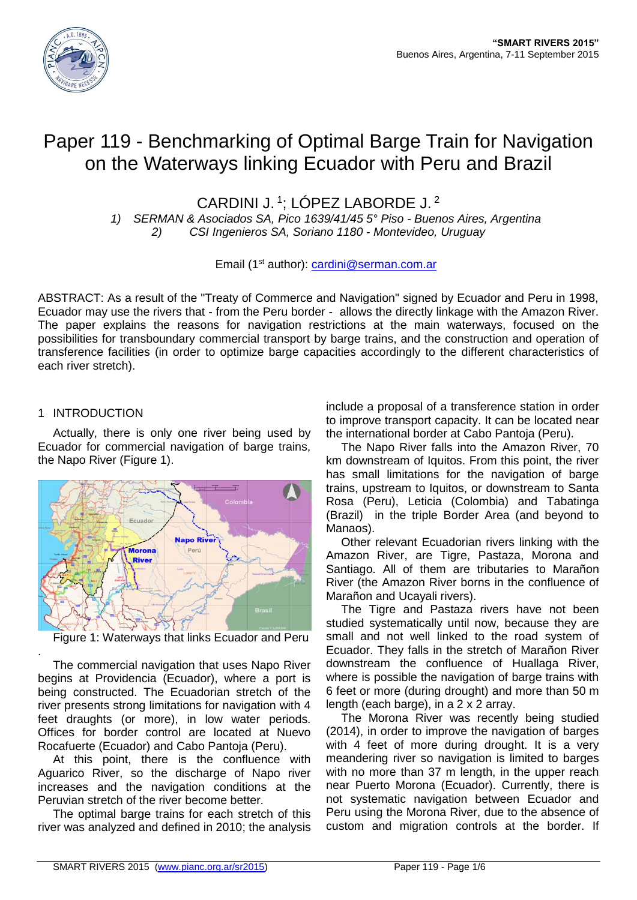

# Paper 119 - Benchmarking of Optimal Barge Train for Navigation on the Waterways linking Ecuador with Peru and Brazil

CARDINI J.<sup>1</sup>; LÓPEZ LABORDE J.<sup>2</sup>

*1) SERMAN & Asociados SA, Pico 1639/41/45 5° Piso - Buenos Aires, Argentina 2) CSI Ingenieros SA, Soriano 1180 - Montevideo, Uruguay*

Email (1st author): [cardini@serman.com.ar](mailto:cardini@serman.com.ar)

ABSTRACT: As a result of the "Treaty of Commerce and Navigation" signed by Ecuador and Peru in 1998, Ecuador may use the rivers that - from the Peru border - allows the directly linkage with the Amazon River. The paper explains the reasons for navigation restrictions at the main waterways, focused on the possibilities for transboundary commercial transport by barge trains, and the construction and operation of transference facilities (in order to optimize barge capacities accordingly to the different characteristics of each river stretch).

## 1 INTRODUCTION

.

Actually, there is only one river being used by Ecuador for commercial navigation of barge trains, the Napo River (Figure 1).



Figure 1: Waterways that links Ecuador and Peru

The commercial navigation that uses Napo River begins at Providencia (Ecuador), where a port is being constructed. The Ecuadorian stretch of the river presents strong limitations for navigation with 4 feet draughts (or more), in low water periods. Offices for border control are located at Nuevo Rocafuerte (Ecuador) and Cabo Pantoja (Peru).

At this point, there is the confluence with Aguarico River, so the discharge of Napo river increases and the navigation conditions at the Peruvian stretch of the river become better.

The optimal barge trains for each stretch of this river was analyzed and defined in 2010; the analysis include a proposal of a transference station in order to improve transport capacity. It can be located near the international border at Cabo Pantoja (Peru).

The Napo River falls into the Amazon River, 70 km downstream of Iquitos. From this point, the river has small limitations for the navigation of barge trains, upstream to Iquitos, or downstream to Santa Rosa (Peru), Leticia (Colombia) and Tabatinga (Brazil) in the triple Border Area (and beyond to Manaos).

Other relevant Ecuadorian rivers linking with the Amazon River, are Tigre, Pastaza, Morona and Santiago. All of them are tributaries to Marañon River (the Amazon River borns in the confluence of Marañon and Ucayali rivers).

The Tigre and Pastaza rivers have not been studied systematically until now, because they are small and not well linked to the road system of Ecuador. They falls in the stretch of Marañon River downstream the confluence of Huallaga River, where is possible the navigation of barge trains with 6 feet or more (during drought) and more than 50 m length (each barge), in a 2 x 2 array.

The Morona River was recently being studied (2014), in order to improve the navigation of barges with 4 feet of more during drought. It is a very meandering river so navigation is limited to barges with no more than 37 m length, in the upper reach near Puerto Morona (Ecuador). Currently, there is not systematic navigation between Ecuador and Peru using the Morona River, due to the absence of custom and migration controls at the border. If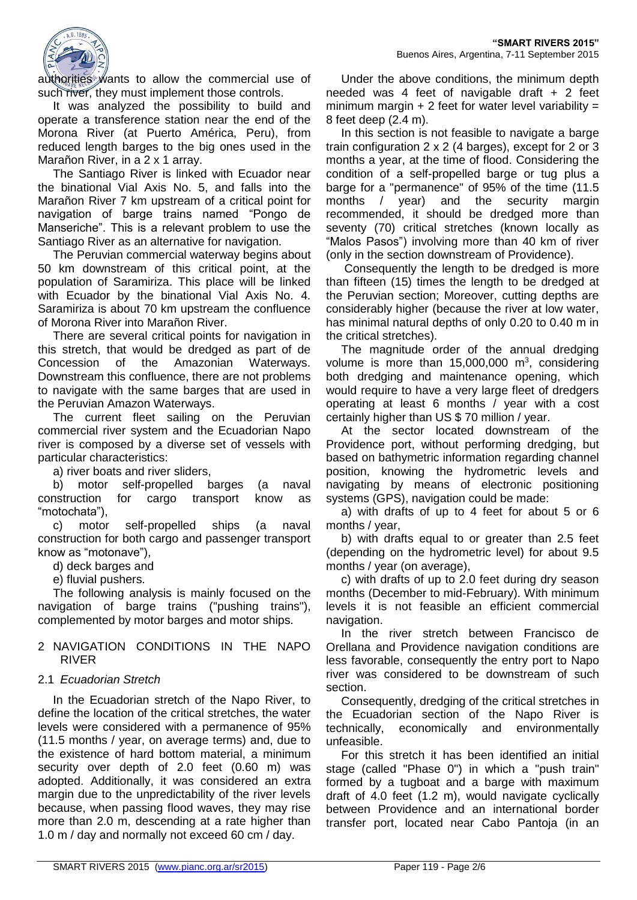

authorities wants to allow the commercial use of such river, they must implement those controls.

It was analyzed the possibility to build and operate a transference station near the end of the Morona River (at Puerto América, Peru), from reduced length barges to the big ones used in the Marañon River, in a 2 x 1 array.

The Santiago River is linked with Ecuador near the binational Vial Axis No. 5, and falls into the Marañon River 7 km upstream of a critical point for navigation of barge trains named "Pongo de Manseriche". This is a relevant problem to use the Santiago River as an alternative for navigation.

The Peruvian commercial waterway begins about 50 km downstream of this critical point, at the population of Saramiriza. This place will be linked with Ecuador by the binational Vial Axis No. 4. Saramiriza is about 70 km upstream the confluence of Morona River into Marañon River.

There are several critical points for navigation in this stretch, that would be dredged as part of de Concession of the Amazonian Waterways. Downstream this confluence, there are not problems to navigate with the same barges that are used in the Peruvian Amazon Waterways.

The current fleet sailing on the Peruvian commercial river system and the Ecuadorian Napo river is composed by a diverse set of vessels with particular characteristics:

a) river boats and river sliders,

b) motor self-propelled barges (a naval construction for cargo transport know as "motochata"),

c) motor self-propelled ships (a naval construction for both cargo and passenger transport know as "motonave"),

d) deck barges and

e) fluvial pushers.

The following analysis is mainly focused on the navigation of barge trains ("pushing trains"), complemented by motor barges and motor ships.

#### 2 NAVIGATION CONDITIONS IN THE NAPO RIVER

## 2.1 *Ecuadorian Stretch*

In the Ecuadorian stretch of the Napo River, to define the location of the critical stretches, the water levels were considered with a permanence of 95% (11.5 months / year, on average terms) and, due to the existence of hard bottom material, a minimum security over depth of 2.0 feet (0.60 m) was adopted. Additionally, it was considered an extra margin due to the unpredictability of the river levels because, when passing flood waves, they may rise more than 2.0 m, descending at a rate higher than 1.0 m / day and normally not exceed 60 cm / day.

Under the above conditions, the minimum depth needed was 4 feet of navigable draft + 2 feet minimum margin  $+ 2$  feet for water level variability = 8 feet deep (2.4 m).

In this section is not feasible to navigate a barge train configuration 2 x 2 (4 barges), except for 2 or 3 months a year, at the time of flood. Considering the condition of a self-propelled barge or tug plus a barge for a "permanence" of 95% of the time (11.5 months / year) and the security margin recommended, it should be dredged more than seventy (70) critical stretches (known locally as "Malos Pasos") involving more than 40 km of river (only in the section downstream of Providence).

Consequently the length to be dredged is more than fifteen (15) times the length to be dredged at the Peruvian section; Moreover, cutting depths are considerably higher (because the river at low water, has minimal natural depths of only 0.20 to 0.40 m in the critical stretches).

The magnitude order of the annual dredging volume is more than  $15,000,000$  m<sup>3</sup>, considering both dredging and maintenance opening, which would require to have a very large fleet of dredgers operating at least 6 months / year with a cost certainly higher than US \$ 70 million / year.

At the sector located downstream of the Providence port, without performing dredging, but based on bathymetric information regarding channel position, knowing the hydrometric levels and navigating by means of electronic positioning systems (GPS), navigation could be made:

a) with drafts of up to 4 feet for about 5 or 6 months / year,

b) with drafts equal to or greater than 2.5 feet (depending on the hydrometric level) for about 9.5 months / year (on average),

c) with drafts of up to 2.0 feet during dry season months (December to mid-February). With minimum levels it is not feasible an efficient commercial navigation.

In the river stretch between Francisco de Orellana and Providence navigation conditions are less favorable, consequently the entry port to Napo river was considered to be downstream of such section.

Consequently, dredging of the critical stretches in the Ecuadorian section of the Napo River is technically, economically and environmentally unfeasible.

For this stretch it has been identified an initial stage (called "Phase 0") in which a "push train" formed by a tugboat and a barge with maximum draft of 4.0 feet (1.2 m), would navigate cyclically between Providence and an international border transfer port, located near Cabo Pantoja (in an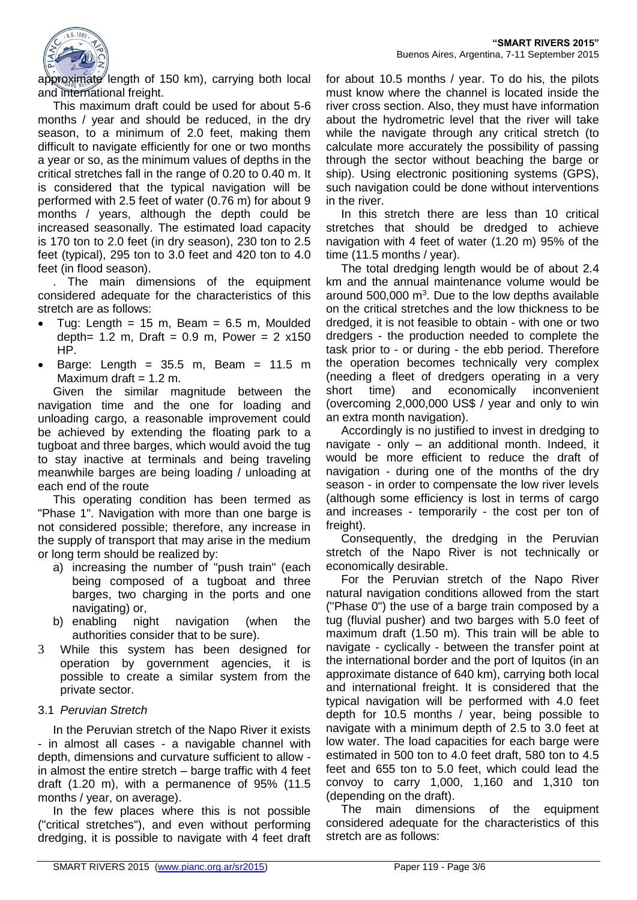

approximate length of 150 km), carrying both local and international freight.

This maximum draft could be used for about 5-6 months / year and should be reduced, in the dry season, to a minimum of 2.0 feet, making them difficult to navigate efficiently for one or two months a year or so, as the minimum values of depths in the critical stretches fall in the range of 0.20 to 0.40 m. It is considered that the typical navigation will be performed with 2.5 feet of water (0.76 m) for about 9 months / years, although the depth could be increased seasonally. The estimated load capacity is 170 ton to 2.0 feet (in dry season), 230 ton to 2.5 feet (typical), 295 ton to 3.0 feet and 420 ton to 4.0 feet (in flood season).

. The main dimensions of the equipment considered adequate for the characteristics of this stretch are as follows:

- Tug: Length =  $15$  m, Beam =  $6.5$  m, Moulded depth=  $1.2 \text{ m}$ , Draft =  $0.9 \text{ m}$ , Power =  $2 \times 150$ HP.
- Barge: Length =  $35.5$  m, Beam =  $11.5$  m Maximum draft  $= 1.2$  m.

Given the similar magnitude between the navigation time and the one for loading and unloading cargo, a reasonable improvement could be achieved by extending the floating park to a tugboat and three barges, which would avoid the tug to stay inactive at terminals and being traveling meanwhile barges are being loading / unloading at each end of the route

This operating condition has been termed as "Phase 1". Navigation with more than one barge is not considered possible; therefore, any increase in the supply of transport that may arise in the medium or long term should be realized by:

- a) increasing the number of "push train" (each being composed of a tugboat and three barges, two charging in the ports and one navigating) or,
- b) enabling night navigation (when the authorities consider that to be sure).
- 3 While this system has been designed for operation by government agencies, it is possible to create a similar system from the private sector.

## 3.1 *Peruvian Stretch*

In the Peruvian stretch of the Napo River it exists - in almost all cases - a navigable channel with depth, dimensions and curvature sufficient to allow in almost the entire stretch – barge traffic with 4 feet draft (1.20 m), with a permanence of 95% (11.5 months / year, on average).

In the few places where this is not possible ("critical stretches"), and even without performing dredging, it is possible to navigate with 4 feet draft for about 10.5 months / year. To do his, the pilots must know where the channel is located inside the river cross section. Also, they must have information about the hydrometric level that the river will take while the navigate through any critical stretch (to calculate more accurately the possibility of passing through the sector without beaching the barge or ship). Using electronic positioning systems (GPS), such navigation could be done without interventions in the river.

In this stretch there are less than 10 critical stretches that should be dredged to achieve navigation with 4 feet of water (1.20 m) 95% of the time (11.5 months / year).

The total dredging length would be of about 2.4 km and the annual maintenance volume would be around 500,000  $\text{m}^3$ . Due to the low depths available on the critical stretches and the low thickness to be dredged, it is not feasible to obtain - with one or two dredgers - the production needed to complete the task prior to - or during - the ebb period. Therefore the operation becomes technically very complex (needing a fleet of dredgers operating in a very short time) and economically inconvenient (overcoming 2,000,000 US\$ / year and only to win an extra month navigation).

Accordingly is no justified to invest in dredging to navigate - only - an additional month. Indeed. it would be more efficient to reduce the draft of navigation - during one of the months of the dry season - in order to compensate the low river levels (although some efficiency is lost in terms of cargo and increases - temporarily - the cost per ton of freight).

Consequently, the dredging in the Peruvian stretch of the Napo River is not technically or economically desirable.

For the Peruvian stretch of the Napo River natural navigation conditions allowed from the start ("Phase 0") the use of a barge train composed by a tug (fluvial pusher) and two barges with 5.0 feet of maximum draft (1.50 m). This train will be able to navigate - cyclically - between the transfer point at the international border and the port of Iquitos (in an approximate distance of 640 km), carrying both local and international freight. It is considered that the typical navigation will be performed with 4.0 feet depth for 10.5 months / year, being possible to navigate with a minimum depth of 2.5 to 3.0 feet at low water. The load capacities for each barge were estimated in 500 ton to 4.0 feet draft, 580 ton to 4.5 feet and 655 ton to 5.0 feet, which could lead the convoy to carry 1,000, 1,160 and 1,310 ton (depending on the draft).

The main dimensions of the equipment considered adequate for the characteristics of this stretch are as follows: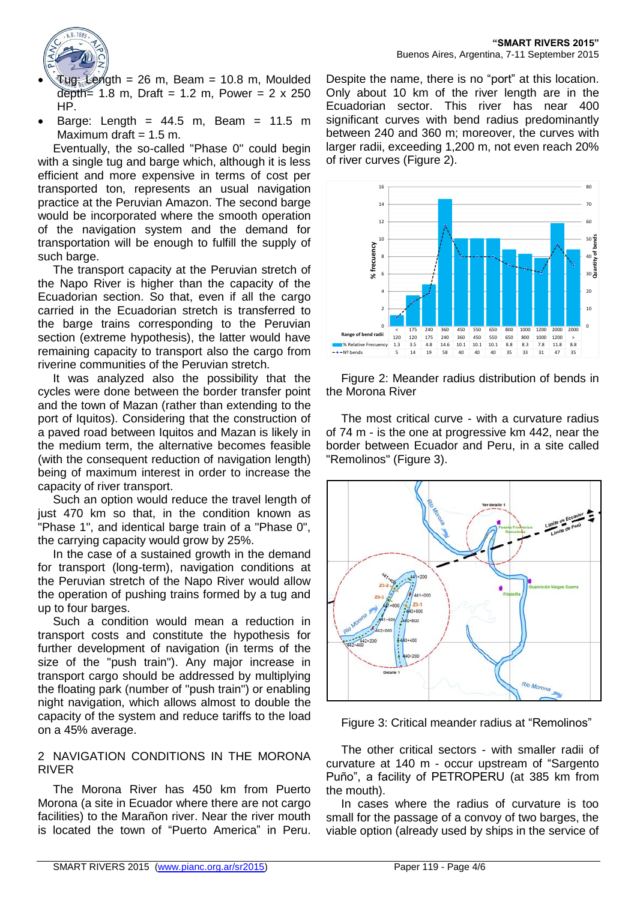

- $Tug:$  Length = 26 m, Beam = 10.8 m, Moulded depth=  $1.8 \text{ m}$ , Draft =  $1.2 \text{ m}$ , Power =  $2 \times 250$ HP.
- Barge: Length =  $44.5$  m, Beam =  $11.5$  m Maximum draft  $= 1.5$  m.

Eventually, the so-called "Phase 0" could begin with a single tug and barge which, although it is less efficient and more expensive in terms of cost per transported ton, represents an usual navigation practice at the Peruvian Amazon. The second barge would be incorporated where the smooth operation of the navigation system and the demand for transportation will be enough to fulfill the supply of such barge.

The transport capacity at the Peruvian stretch of the Napo River is higher than the capacity of the Ecuadorian section. So that, even if all the cargo carried in the Ecuadorian stretch is transferred to the barge trains corresponding to the Peruvian section (extreme hypothesis), the latter would have remaining capacity to transport also the cargo from riverine communities of the Peruvian stretch.

It was analyzed also the possibility that the cycles were done between the border transfer point and the town of Mazan (rather than extending to the port of Iquitos). Considering that the construction of a paved road between Iquitos and Mazan is likely in the medium term, the alternative becomes feasible (with the consequent reduction of navigation length) being of maximum interest in order to increase the capacity of river transport.

Such an option would reduce the travel length of just 470 km so that, in the condition known as "Phase 1", and identical barge train of a "Phase 0", the carrying capacity would grow by 25%.

In the case of a sustained growth in the demand for transport (long-term), navigation conditions at the Peruvian stretch of the Napo River would allow the operation of pushing trains formed by a tug and up to four barges.

Such a condition would mean a reduction in transport costs and constitute the hypothesis for further development of navigation (in terms of the size of the "push train"). Any major increase in transport cargo should be addressed by multiplying the floating park (number of "push train") or enabling night navigation, which allows almost to double the capacity of the system and reduce tariffs to the load on a 45% average.

## 2 NAVIGATION CONDITIONS IN THE MORONA RIVER

The Morona River has 450 km from Puerto Morona (a site in Ecuador where there are not cargo facilities) to the Marañon river. Near the river mouth is located the town of "Puerto America" in Peru.

Despite the name, there is no "port" at this location. Only about 10 km of the river length are in the Ecuadorian sector. This river has near 400 significant curves with bend radius predominantly between 240 and 360 m; moreover, the curves with larger radii, exceeding 1,200 m, not even reach 20% of river curves (Figure 2).



Figure 2: Meander radius distribution of bends in the Morona River

The most critical curve - with a curvature radius of 74 m - is the one at progressive km 442, near the border between Ecuador and Peru, in a site called "Remolinos" (Figure 3).



Figure 3: Critical meander radius at "Remolinos"

The other critical sectors - with smaller radii of curvature at 140 m - occur upstream of "Sargento Puño", a facility of PETROPERU (at 385 km from the mouth).

In cases where the radius of curvature is too small for the passage of a convoy of two barges, the viable option (already used by ships in the service of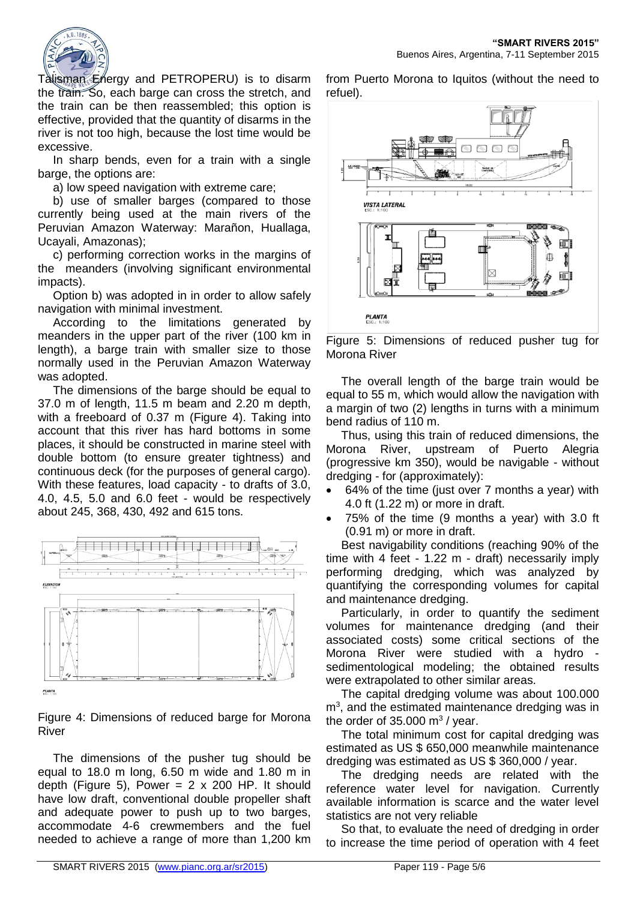

Talisman Energy and PETROPERU) is to disarm the train. So, each barge can cross the stretch, and the train can be then reassembled; this option is effective, provided that the quantity of disarms in the river is not too high, because the lost time would be excessive.

In sharp bends, even for a train with a single barge, the options are:

a) low speed navigation with extreme care;

b) use of smaller barges (compared to those currently being used at the main rivers of the Peruvian Amazon Waterway: Marañon, Huallaga, Ucayali, Amazonas);

c) performing correction works in the margins of the meanders (involving significant environmental impacts).

Option b) was adopted in in order to allow safely navigation with minimal investment.

According to the limitations generated by meanders in the upper part of the river (100 km in length), a barge train with smaller size to those normally used in the Peruvian Amazon Waterway was adopted.

The dimensions of the barge should be equal to 37.0 m of length, 11.5 m beam and 2.20 m depth, with a freeboard of 0.37 m (Figure 4). Taking into account that this river has hard bottoms in some places, it should be constructed in marine steel with double bottom (to ensure greater tightness) and continuous deck (for the purposes of general cargo). With these features, load capacity - to drafts of 3.0, 4.0, 4.5, 5.0 and 6.0 feet - would be respectively about 245, 368, 430, 492 and 615 tons.



Figure 4: Dimensions of reduced barge for Morona River

The dimensions of the pusher tug should be equal to 18.0 m long, 6.50 m wide and 1.80 m in depth (Figure 5), Power =  $2 \times 200$  HP. It should have low draft, conventional double propeller shaft and adequate power to push up to two barges, accommodate 4-6 crewmembers and the fuel needed to achieve a range of more than 1,200 km

from Puerto Morona to Iquitos (without the need to refuel).



Figure 5: Dimensions of reduced pusher tug for Morona River

The overall length of the barge train would be equal to 55 m, which would allow the navigation with a margin of two (2) lengths in turns with a minimum bend radius of 110 m.

Thus, using this train of reduced dimensions, the Morona River, upstream of Puerto Alegria (progressive km 350), would be navigable - without dredging - for (approximately):

- 64% of the time (just over 7 months a year) with 4.0 ft (1.22 m) or more in draft.
- 75% of the time (9 months a year) with 3.0 ft (0.91 m) or more in draft.

Best navigability conditions (reaching 90% of the time with 4 feet - 1.22 m - draft) necessarily imply performing dredging, which was analyzed by quantifying the corresponding volumes for capital and maintenance dredging.

Particularly, in order to quantify the sediment volumes for maintenance dredging (and their associated costs) some critical sections of the Morona River were studied with a hydro sedimentological modeling; the obtained results were extrapolated to other similar areas.

The capital dredging volume was about 100.000  $m<sup>3</sup>$ , and the estimated maintenance dredging was in the order of  $35.000 \text{ m}^3$  / year.

The total minimum cost for capital dredging was estimated as US \$ 650,000 meanwhile maintenance dredging was estimated as US \$ 360,000 / year.

The dredging needs are related with the reference water level for navigation. Currently available information is scarce and the water level statistics are not very reliable

So that, to evaluate the need of dredging in order to increase the time period of operation with 4 feet